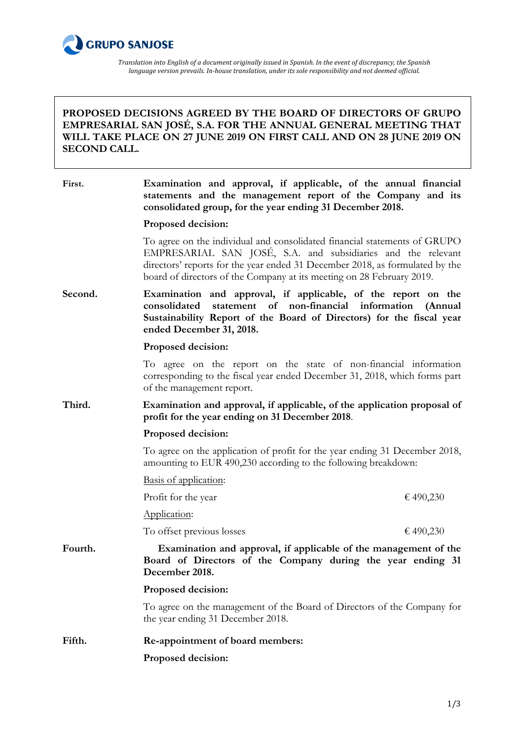

*Translation into English of a document originally issued in Spanish. In the event of discrepancy, the Spanish language* version prevails. In-house translation, under its sole responsibility and not deemed official.

## **PROPOSED DECISIONS AGREED BY THE BOARD OF DIRECTORS OF GRUPO EMPRESARIAL SAN JOSÉ, S.A. FOR THE ANNUAL GENERAL MEETING THAT WILL TAKE PLACE ON 27 JUNE 2019 ON FIRST CALL AND ON 28 JUNE 2019 ON SECOND CALL.**

| First.  | Examination and approval, if applicable, of the annual financial<br>statements and the management report of the Company and its<br>consolidated group, for the year ending 31 December 2018.                                                                                                       |           |
|---------|----------------------------------------------------------------------------------------------------------------------------------------------------------------------------------------------------------------------------------------------------------------------------------------------------|-----------|
|         | Proposed decision:                                                                                                                                                                                                                                                                                 |           |
|         | To agree on the individual and consolidated financial statements of GRUPO<br>EMPRESARIAL SAN JOSE, S.A. and subsidiaries and the relevant<br>directors' reports for the year ended 31 December 2018, as formulated by the<br>board of directors of the Company at its meeting on 28 February 2019. |           |
| Second. | Examination and approval, if applicable, of the report on the<br>statement of non-financial information<br>consolidated<br>Sustainability Report of the Board of Directors) for the fiscal year<br>ended December 31, 2018.                                                                        | (Annual   |
|         | Proposed decision:                                                                                                                                                                                                                                                                                 |           |
|         | To agree on the report on the state of non-financial information<br>corresponding to the fiscal year ended December 31, 2018, which forms part<br>of the management report.                                                                                                                        |           |
| Third.  | Examination and approval, if applicable, of the application proposal of<br>profit for the year ending on 31 December 2018.                                                                                                                                                                         |           |
|         | Proposed decision:                                                                                                                                                                                                                                                                                 |           |
|         | To agree on the application of profit for the year ending 31 December 2018,<br>amounting to EUR 490,230 according to the following breakdown:                                                                                                                                                      |           |
|         | Basis of application:                                                                                                                                                                                                                                                                              |           |
|         | Profit for the year                                                                                                                                                                                                                                                                                | € 490,230 |
|         | Application:                                                                                                                                                                                                                                                                                       |           |
|         | To offset previous losses                                                                                                                                                                                                                                                                          | €490,230  |
| Fourth. | Examination and approval, if applicable of the management of the<br>Board of Directors of the Company during the year ending 31<br>December 2018.                                                                                                                                                  |           |
|         | Proposed decision:                                                                                                                                                                                                                                                                                 |           |
|         | To agree on the management of the Board of Directors of the Company for<br>the year ending 31 December 2018.                                                                                                                                                                                       |           |
| Fifth.  | Re-appointment of board members:                                                                                                                                                                                                                                                                   |           |
|         | Proposed decision:                                                                                                                                                                                                                                                                                 |           |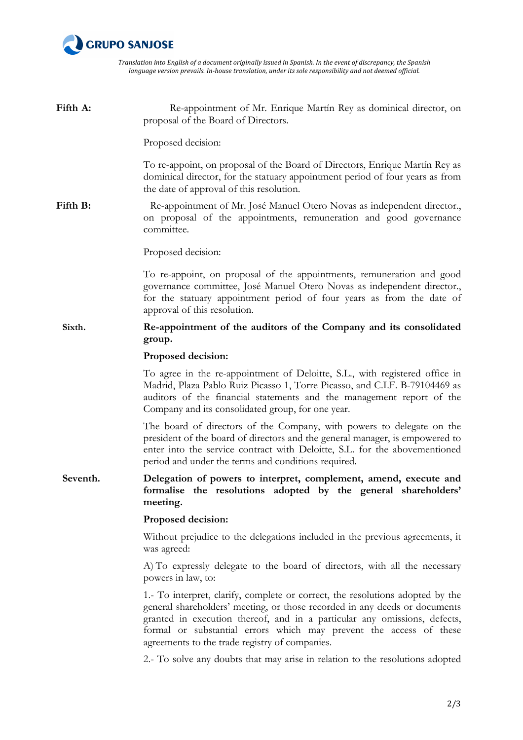

*Translation into English of a document originally issued in Spanish. In the event of discrepancy, the Spanish language version prevails. In-house translation, under its sole responsibility and not deemed official.*

| Fifth A: | Re-appointment of Mr. Enrique Martín Rey as dominical director, on<br>proposal of the Board of Directors.                                                                                                                                                                                                                                                         |
|----------|-------------------------------------------------------------------------------------------------------------------------------------------------------------------------------------------------------------------------------------------------------------------------------------------------------------------------------------------------------------------|
|          | Proposed decision:                                                                                                                                                                                                                                                                                                                                                |
|          | To re-appoint, on proposal of the Board of Directors, Enrique Martín Rey as<br>dominical director, for the statuary appointment period of four years as from<br>the date of approval of this resolution.                                                                                                                                                          |
| Fifth B: | Re-appointment of Mr. José Manuel Otero Novas as independent director.,<br>on proposal of the appointments, remuneration and good governance<br>committee.                                                                                                                                                                                                        |
|          | Proposed decision:                                                                                                                                                                                                                                                                                                                                                |
|          | To re-appoint, on proposal of the appointments, remuneration and good<br>governance committee, José Manuel Otero Novas as independent director.,<br>for the statuary appointment period of four years as from the date of<br>approval of this resolution.                                                                                                         |
| Sixth.   | Re-appointment of the auditors of the Company and its consolidated<br>group.                                                                                                                                                                                                                                                                                      |
|          | Proposed decision:                                                                                                                                                                                                                                                                                                                                                |
|          | To agree in the re-appointment of Deloitte, S.L., with registered office in<br>Madrid, Plaza Pablo Ruiz Picasso 1, Torre Picasso, and C.I.F. B-79104469 as<br>auditors of the financial statements and the management report of the<br>Company and its consolidated group, for one year.                                                                          |
|          | The board of directors of the Company, with powers to delegate on the<br>president of the board of directors and the general manager, is empowered to<br>enter into the service contract with Deloitte, S.L. for the abovementioned<br>period and under the terms and conditions required.                                                                        |
| Seventh. | Delegation of powers to interpret, complement, amend, execute and<br>formalise the resolutions adopted by the general shareholders'<br>meeting.                                                                                                                                                                                                                   |
|          | Proposed decision:                                                                                                                                                                                                                                                                                                                                                |
|          | Without prejudice to the delegations included in the previous agreements, it<br>was agreed:                                                                                                                                                                                                                                                                       |
|          | A) To expressly delegate to the board of directors, with all the necessary<br>powers in law, to:                                                                                                                                                                                                                                                                  |
|          | 1.- To interpret, clarify, complete or correct, the resolutions adopted by the<br>general shareholders' meeting, or those recorded in any deeds or documents<br>granted in execution thereof, and in a particular any omissions, defects,<br>formal or substantial errors which may prevent the access of these<br>agreements to the trade registry of companies. |
|          | 2.- To solve any doubts that may arise in relation to the resolutions adopted                                                                                                                                                                                                                                                                                     |
|          |                                                                                                                                                                                                                                                                                                                                                                   |